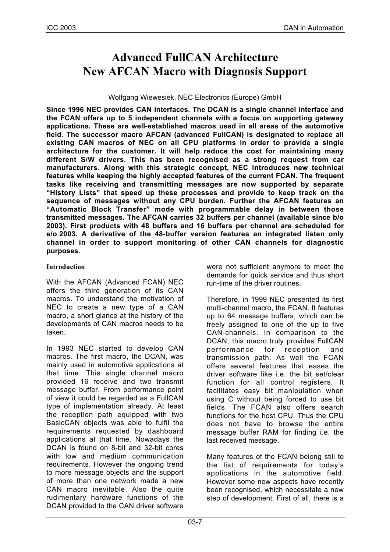# **Advanced FullCAN Architecture New AFCAN Macro with Diagnosis Support**

### Wolfgang Wiewesiek, NEC Electronics (Europe) GmbH

**Since 1996 NEC provides CAN interfaces. The DCAN is a single channel interface and the FCAN offers up to 5 independent channels with a focus on supporting gateway applications. These are well-established macros used in all areas of the automotive field. The successor macro AFCAN (advanced FullCAN) is designated to replace all existing CAN macros of NEC on all CPU platforms in order to provide a single architecture for the customer. It will help reduce the cost for maintaining many different S/W drivers. This has been recognised as a strong request from car manufacturers. Along with this strategic concept, NEC introduces new technical features while keeping the highly accepted features of the current FCAN. The frequent tasks like receiving and transmitting messages are now supported by separate "History Lists" that speed up these processes and provide to keep track on the sequence of messages without any CPU burden. Further the AFCAN features an "Automatic Block Transfer" mode with programmable delay in between those transmitted messages. The AFCAN carries 32 buffers per channel (available since b/o 2003). First products with 48 buffers and 16 buffers per channel are scheduled for e/o 2003. A derivative of the 48-buffer version features an integrated listen only channel in order to support monitoring of other CAN channels for diagnostic purposes.**

## **Introduction**

With the AFCAN (Advanced FCAN) NEC offers the third generation of its CAN macros. To understand the motivation of NEC to create a new type of a CAN macro, a short glance at the history of the developments of CAN macros needs to be taken.

In 1993 NEC started to develop CAN macros. The first macro, the DCAN, was mainly used in automotive applications at that time. This single channel macro provided 16 receive and two transmit message buffer. From performance point of view it could be regarded as a FullCAN type of implementation already. At least the reception path equipped with two BasicCAN objects was able to fulfil the requirements requested by dashboard applications at that time. Nowadays the DCAN is found on 8-bit and 32-bit cores with low and medium communication requirements. However the ongoing trend to more message objects and the support of more than one network made a new CAN macro inevitable. Also the quite rudimentary hardware functions of the DCAN provided to the CAN driver software

were not sufficient anymore to meet the demands for quick service and thus short run-time of the driver routines.

Therefore, in 1999 NEC presented its first multi-channel macro, the FCAN. It features up to 64 message buffers, which can be freely assigned to one of the up to five CAN-channels. In comparison to the DCAN, this macro truly provides FullCAN performance for reception and transmission path. As well the FCAN offers several features that eases the driver software like i.e. the bit set/clear function for all control registers. It facilitates easy bit manipulation when using C without being forced to use bit fields. The FCAN also offers search functions for the host CPU. Thus the CPU does not have to browse the entire message buffer RAM for finding i.e. the last received message.

Many features of the FCAN belong still to the list of requirements for today's applications in the automotive field. However some new aspects have recently been recognised, which necessitate a new step of development. First of all, there is a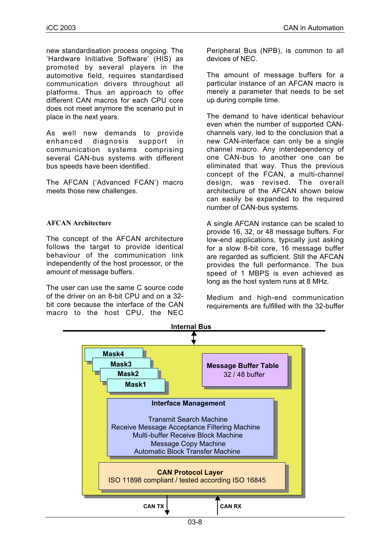new standardisation process ongoing. The 'Hardware Initiative Software' (HIS) as promoted by several players in the automotive field, requires standardised communication drivers throughout all platforms. Thus an approach to offer different CAN macros for each CPU core does not meet anymore the scenario put in place in the next years.

As well new demands to provide enhanced diagnosis support in communication systems comprising several CAN-bus systems with different bus speeds have been identified.

The AFCAN ('Advanced FCAN') macro meets those new challenges.

### **AFCAN Architecture**

The concept of the AFCAN architecture follows the target to provide identical behaviour of the communication link independently of the host processor, or the amount of message buffers.

The user can use the same C source code of the driver on an 8-bit CPU and on a 32 bit core because the interface of the CAN macro to the host CPU, the NEC

Peripheral Bus (NPB), is common to all devices of NEC.

The amount of message buffers for a particular instance of an AFCAN macro is merely a parameter that needs to be set up during compile time.

The demand to have identical behaviour even when the number of supported CANchannels vary, led to the conclusion that a new CAN-interface can only be a single channel macro. Any interdependency of one CAN-bus to another one can be eliminated that way. Thus the previous concept of the FCAN, a multi-channel design, was revised. The overall architecture of the AFCAN shown below can easily be expanded to the required number of CAN-bus systems.

A single AFCAN instance can be scaled to provide 16, 32, or 48 message buffers. For low-end applications, typically just asking for a slow 8-bit core, 16 message buffer are regarded as sufficient. Still the AFCAN provides the full performance. The bus speed of 1 MBPS is even achieved as long as the host system runs at 8 MHz.

Medium and high-end communication requirements are fulfilled with the 32-buffer

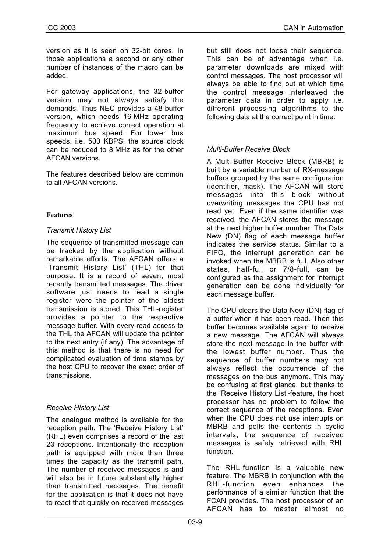version as it is seen on 32-bit cores. In those applications a second or any other number of instances of the macro can be added.

For gateway applications, the 32-buffer version may not always satisfy the demands. Thus NEC provides a 48-buffer version, which needs 16 MHz operating frequency to achieve correct operation at maximum bus speed. For lower bus speeds, i.e. 500 KBPS, the source clock can be reduced to 8 MHz as for the other AFCAN versions.

The features described below are common to all AFCAN versions.

## **Features**

## *Transmit History List*

The sequence of transmitted message can be tracked by the application without remarkable efforts. The AFCAN offers a 'Transmit History List' (THL) for that purpose. It is a record of seven, most recently transmitted messages. The driver software just needs to read a single register were the pointer of the oldest transmission is stored. This THL-register provides a pointer to the respective message buffer. With every read access to the THL the AFCAN will update the pointer to the next entry (if any). The advantage of this method is that there is no need for complicated evaluation of time stamps by the host CPU to recover the exact order of transmissions.

# *Receive History List*

The analogue method is available for the reception path. The 'Receive History List' (RHL) even comprises a record of the last 23 receptions. Intentionally the reception path is equipped with more than three times the capacity as the transmit path. The number of received messages is and will also be in future substantially higher than transmitted messages. The benefit for the application is that it does not have to react that quickly on received messages

but still does not loose their sequence. This can be of advantage when i.e. parameter downloads are mixed with control messages. The host processor will always be able to find out at which time the control message interleaved the parameter data in order to apply i.e. different processing algorithms to the following data at the correct point in time.

# *Multi-Buffer Receive Block*

A Multi-Buffer Receive Block (MBRB) is built by a variable number of RX-message buffers grouped by the same configuration (identifier, mask). The AFCAN will store messages into this block without overwriting messages the CPU has not read yet. Even if the same identifier was received, the AFCAN stores the message at the next higher buffer number. The Data New (DN) flag of each message buffer indicates the service status. Similar to a FIFO, the interrupt generation can be invoked when the MBRB is full. Also other states, half-full or 7/8-full, can be configured as the assignment for interrupt generation can be done individually for each message buffer.

The CPU clears the Data-New (DN) flag of a buffer when it has been read. Then this buffer becomes available again to receive a new message. The AFCAN will always store the next message in the buffer with the lowest buffer number. Thus the sequence of buffer numbers may not always reflect the occurrence of the messages on the bus anymore. This may be confusing at first glance, but thanks to the 'Receive History List'-feature, the host processor has no problem to follow the correct sequence of the receptions. Even when the CPU does not use interrupts on MBRB and polls the contents in cyclic intervals, the sequence of received messages is safely retrieved with RHL function.

The RHL-function is a valuable new feature. The MBRB in conjunction with the RHL-function even enhances the performance of a similar function that the FCAN provides. The host processor of an AFCAN has to master almost no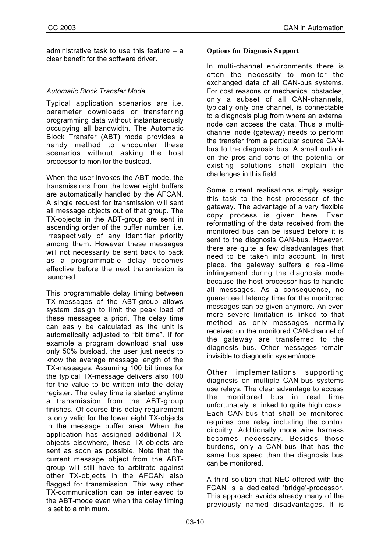administrative task to use this feature – a clear benefit for the software driver.

# *Automatic Block Transfer Mode*

Typical application scenarios are i.e. parameter downloads or transferring programming data without instantaneously occupying all bandwidth. The Automatic Block Transfer (ABT) mode provides a handy method to encounter these scenarios without asking the host processor to monitor the busload.

When the user invokes the ABT-mode, the transmissions from the lower eight buffers are automatically handled by the AFCAN. A single request for transmission will sent all message objects out of that group. The TX-objects in the ABT-group are sent in ascending order of the buffer number, i.e. irrespectively of any identifier priority among them. However these messages will not necessarily be sent back to back as a programmable delay becomes effective before the next transmission is launched.

This programmable delay timing between TX-messages of the ABT-group allows system design to limit the peak load of these messages a priori. The delay time can easily be calculated as the unit is automatically adjusted to "bit time". If for example a program download shall use only 50% busload, the user just needs to know the average message length of the TX-messages. Assuming 100 bit times for the typical TX-message delivers also 100 for the value to be written into the delay register. The delay time is started anytime a transmission from the ABT-group finishes. Of course this delay requirement is only valid for the lower eight TX-objects in the message buffer area. When the application has assigned additional TXobjects elsewhere, these TX-objects are sent as soon as possible. Note that the current message object from the ABTgroup will still have to arbitrate against other TX-objects in the AFCAN also flagged for transmission. This way other TX-communication can be interleaved to the ABT-mode even when the delay timing is set to a minimum.

## **Options for Diagnosis Support**

In multi-channel environments there is often the necessity to monitor the exchanged data of all CAN-bus systems. For cost reasons or mechanical obstacles, only a subset of all CAN-channels, typically only one channel, is connectable to a diagnosis plug from where an external node can access the data. Thus a multichannel node (gateway) needs to perform the transfer from a particular source CANbus to the diagnosis bus. A small outlook on the pros and cons of the potential or existing solutions shall explain the challenges in this field.

Some current realisations simply assign this task to the host processor of the gateway. The advantage of a very flexible copy process is given here. Even reformatting of the data received from the monitored bus can be issued before it is sent to the diagnosis CAN-bus. However, there are quite a few disadvantages that need to be taken into account. In first place, the gateway suffers a real-time infringement during the diagnosis mode because the host processor has to handle all messages. As a consequence, no guaranteed latency time for the monitored messages can be given anymore. An even more severe limitation is linked to that method as only messages normally received on the monitored CAN-channel of the gateway are transferred to the diagnosis bus. Other messages remain invisible to diagnostic system/node.

Other implementations supporting diagnosis on multiple CAN-bus systems use relays. The clear advantage to access the monitored bus in real time unfortunately is linked to quite high costs. Each CAN-bus that shall be monitored requires one relay including the control circuitry. Additionally more wire harness becomes necessary. Besides those burdens, only a CAN-bus that has the same bus speed than the diagnosis bus can be monitored.

A third solution that NEC offered with the FCAN is a dedicated 'bridge'-processor. This approach avoids already many of the previously named disadvantages. It is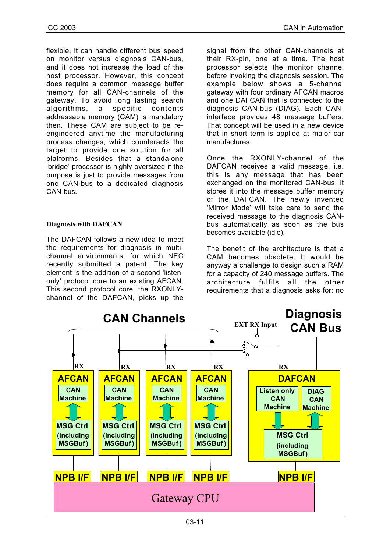flexible, it can handle different bus speed on monitor versus diagnosis CAN-bus, and it does not increase the load of the host processor. However, this concept does require a common message buffer memory for all CAN-channels of the gateway. To avoid long lasting search algorithms, a specific contents addressable memory (CAM) is mandatory then. These CAM are subject to be reengineered anytime the manufacturing process changes, which counteracts the target to provide one solution for all platforms. Besides that a standalone 'bridge'-processor is highly oversized if the purpose is just to provide messages from one CAN-bus to a dedicated diagnosis CAN-bus.

## **Diagnosis with DAFCAN**

The DAFCAN follows a new idea to meet the requirements for diagnosis in multichannel environments, for which NEC recently submitted a patent. The key element is the addition of a second 'listenonly' protocol core to an existing AFCAN. This second protocol core, the RXONLYchannel of the DAFCAN, picks up the signal from the other CAN-channels at their RX-pin, one at a time. The host processor selects the monitor channel before invoking the diagnosis session. The example below shows a 5-channel gateway with four ordinary AFCAN macros and one DAFCAN that is connected to the diagnosis CAN-bus (DIAG). Each CANinterface provides 48 message buffers. That concept will be used in a new device that in short term is applied at major car manufactures.

Once the RXONLY-channel of the DAFCAN receives a valid message, i.e. this is any message that has been exchanged on the monitored CAN-bus, it stores it into the message buffer memory of the DAFCAN. The newly invented 'Mirror Mode' will take care to send the received message to the diagnosis CANbus automatically as soon as the bus becomes available (idle).

The benefit of the architecture is that a CAM becomes obsolete. It would be anyway a challenge to design such a RAM for a capacity of 240 message buffers. The architecture fulfils all the other requirements that a diagnosis asks for: no

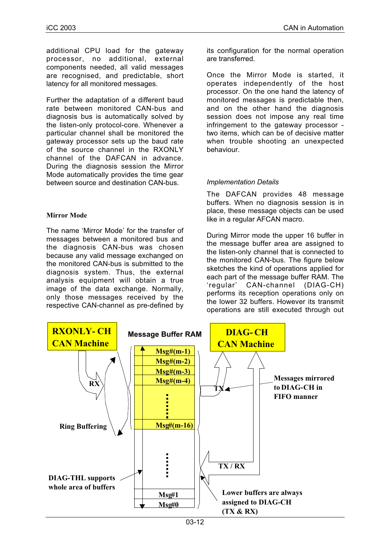additional CPU load for the gateway processor, no additional, external components needed, all valid messages are recognised, and predictable, short latency for all monitored messages.

Further the adaptation of a different baud rate between monitored CAN-bus and diagnosis bus is automatically solved by the listen-only protocol-core. Whenever a particular channel shall be monitored the gateway processor sets up the baud rate of the source channel in the RXONLY channel of the DAFCAN in advance. During the diagnosis session the Mirror Mode automatically provides the time gear between source and destination CAN-bus.

#### **Mirror Mode**

The name 'Mirror Mode' for the transfer of messages between a monitored bus and the diagnosis CAN-bus was chosen because any valid message exchanged on the monitored CAN-bus is submitted to the diagnosis system. Thus, the external analysis equipment will obtain a true image of the data exchange. Normally, only those messages received by the respective CAN-channel as pre-defined by

its configuration for the normal operation are transferred.

Once the Mirror Mode is started, it operates independently of the host processor. On the one hand the latency of monitored messages is predictable then, and on the other hand the diagnosis session does not impose any real time infringement to the gateway processor two items, which can be of decisive matter when trouble shooting an unexpected behaviour.

#### *Implementation Details*

The DAFCAN provides 48 message buffers. When no diagnosis session is in place, these message objects can be used like in a regular AFCAN macro.

During Mirror mode the upper 16 buffer in the message buffer area are assigned to the listen-only channel that is connected to the monitored CAN-bus. The figure below sketches the kind of operations applied for each part of the message buffer RAM. The 'regular' CAN-channel (DIAG-CH) performs its reception operations only on the lower 32 buffers. However its transmit operations are still executed through out

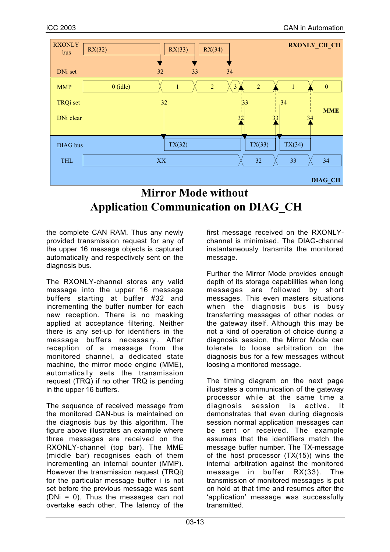

# **Mirror Mode without Application Communication on DIAG\_CH**

the complete CAN RAM. Thus any newly provided transmission request for any of the upper 16 message objects is captured automatically and respectively sent on the diagnosis bus.

The RXONLY-channel stores any valid message into the upper 16 message buffers starting at buffer #32 and incrementing the buffer number for each new reception. There is no masking applied at acceptance filtering. Neither there is any set-up for identifiers in the message buffers necessary. After reception of a message from the monitored channel, a dedicated state machine, the mirror mode engine (MME), automatically sets the transmission request (TRQ) if no other TRQ is pending in the upper 16 buffers.

The sequence of received message from the monitored CAN-bus is maintained on the diagnosis bus by this algorithm. The figure above illustrates an example where three messages are received on the RXONLY-channel (top bar). The MME (middle bar) recognises each of them incrementing an internal counter (MMP). However the transmission request (TRQi) for the particular message buffer i is not set before the previous message was sent (DNi = 0). Thus the messages can not overtake each other. The latency of the

first message received on the RXONLYchannel is minimised. The DIAG-channel instantaneously transmits the monitored message.

Further the Mirror Mode provides enough depth of its storage capabilities when long messages are followed by short messages. This even masters situations when the diagnosis bus is busy transferring messages of other nodes or the gateway itself. Although this may be not a kind of operation of choice during a diagnosis session, the Mirror Mode can tolerate to loose arbitration on the diagnosis bus for a few messages without loosing a monitored message.

The timing diagram on the next page illustrates a communication of the gateway processor while at the same time a<br>diagnosis session is active. It diagnosis demonstrates that even during diagnosis session normal application messages can be sent or received. The example assumes that the identifiers match the message buffer number. The TX-message of the host processor (TX(15)) wins the internal arbitration against the monitored message in buffer RX(33). The transmission of monitored messages is put on hold at that time and resumes after the 'application' message was successfully transmitted.